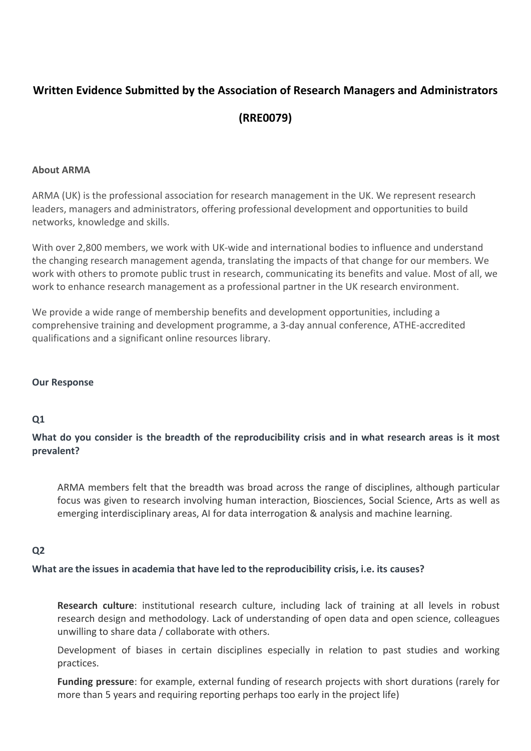# **Written Evidence Submitted by the Association of Research Managers and Administrators (RRE0079)**

#### **About ARMA**

ARMA (UK) is the professional association for research management in the UK. We represent research leaders, managers and administrators, offering professional development and opportunities to build networks, knowledge and skills.

With over 2,800 members, we work with UK-wide and international bodies to influence and understand the changing research management agenda, translating the impacts of that change for our members. We work with others to promote public trust in research, communicating its benefits and value. Most of all, we work to enhance research management as a professional partner in the UK research environment.

We provide a wide range of membership benefits and development opportunities, including a comprehensive training and development programme, a 3-day annual conference, ATHE-accredited qualifications and a significant online resources library.

#### **Our Response**

# **Q1**

What do you consider is the breadth of the reproducibility crisis and in what research areas is it most **prevalent?**

ARMA members felt that the breadth was broad across the range of disciplines, although particular focus was given to research involving human interaction, Biosciences, Social Science, Arts as well as emerging interdisciplinary areas, AI for data interrogation & analysis and machine learning.

#### **Q2**

**What are the issues in academia that have led to the reproducibility crisis, i.e. its causes?**

**Research culture**: institutional research culture, including lack of training at all levels in robust research design and methodology. Lack of understanding of open data and open science, colleagues unwilling to share data / collaborate with others.

Development of biases in certain disciplines especially in relation to past studies and working practices.

**Funding pressure**: for example, external funding of research projects with short durations (rarely for more than 5 years and requiring reporting perhaps too early in the project life)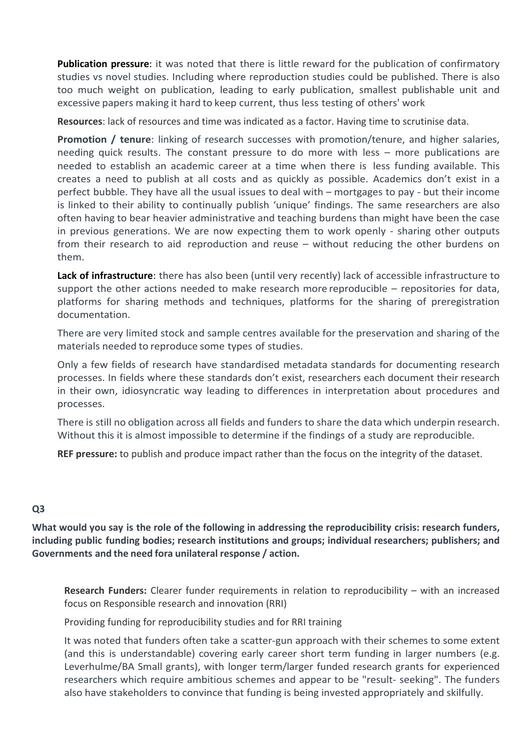**Publication pressure**: it was noted that there is little reward for the publication of confirmatory studies vs novel studies. Including where reproduction studies could be published. There is also too much weight on publication, leading to early publication, smallest publishable unit and excessive papers making it hard to keep current, thus less testing of others' work

**Resources**: lack of resources and time was indicated as a factor. Having time to scrutinise data.

**Promotion / tenure**: linking of research successes with promotion/tenure, and higher salaries, needing quick results. The constant pressure to do more with less – more publications are needed to establish an academic career at a time when there is less funding available. This creates a need to publish at all costs and as quickly as possible. Academics don't exist in a perfect bubble. They have all the usual issues to deal with – mortgages to pay - but their income is linked to their ability to continually publish 'unique' findings. The same researchers are also often having to bear heavier administrative and teaching burdens than might have been the case in previous generations. We are now expecting them to work openly - sharing other outputs from their research to aid reproduction and reuse – without reducing the other burdens on them.

**Lack of infrastructure**: there has also been (until very recently) lack of accessible infrastructure to support the other actions needed to make research more reproducible – repositories for data, platforms for sharing methods and techniques, platforms for the sharing of preregistration documentation.

There are very limited stock and sample centres available for the preservation and sharing of the materials needed to reproduce some types of studies.

Only a few fields of research have standardised metadata standards for documenting research processes. In fields where these standards don't exist, researchers each document their research in their own, idiosyncratic way leading to differences in interpretation about procedures and processes.

There is still no obligation across all fields and funders to share the data which underpin research. Without this it is almost impossible to determine if the findings of a study are reproducible.

**REF pressure:** to publish and produce impact rather than the focus on the integrity of the dataset.

# **Q3**

What would you say is the role of the following in addressing the reproducibility crisis: research funders, **including public funding bodies; research institutions and groups; individual researchers; publishers; and Governments and the need fora unilateral response / action.**

**Research Funders:** Clearer funder requirements in relation to reproducibility – with an increased focus on Responsible research and innovation (RRI)

Providing funding for reproducibility studies and for RRI training

It was noted that funders often take a scatter-gun approach with their schemes to some extent (and this is understandable) covering early career short term funding in larger numbers (e.g. Leverhulme/BA Small grants), with longer term/larger funded research grants for experienced researchers which require ambitious schemes and appear to be "result- seeking". The funders also have stakeholders to convince that funding is being invested appropriately and skilfully.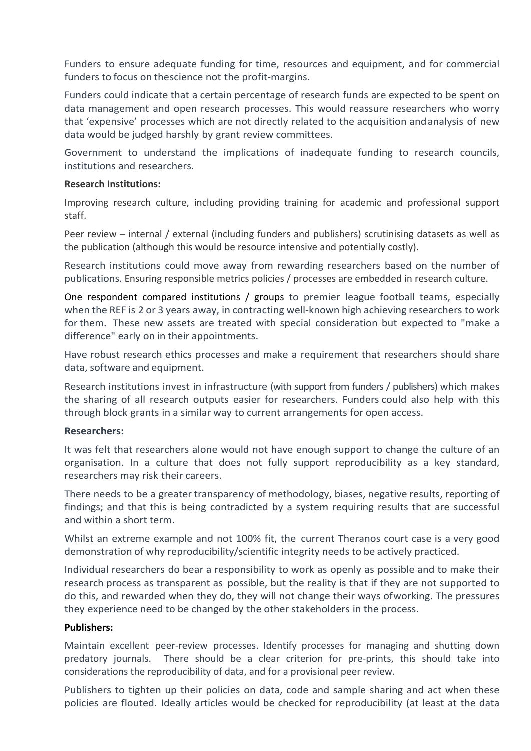Funders to ensure adequate funding for time, resources and equipment, and for commercial funders to focus on thescience not the profit-margins.

Funders could indicate that a certain percentage of research funds are expected to be spent on data management and open research processes. This would reassure researchers who worry that 'expensive' processes which are not directly related to the acquisition andanalysis of new data would be judged harshly by grant review committees.

Government to understand the implications of inadequate funding to research councils, institutions and researchers.

#### **Research Institutions:**

Improving research culture, including providing training for academic and professional support staff.

Peer review – internal / external (including funders and publishers) scrutinising datasets as well as the publication (although this would be resource intensive and potentially costly).

Research institutions could move away from rewarding researchers based on the number of publications. Ensuring responsible metrics policies / processes are embedded in research culture.

One respondent compared institutions / groups to premier league football teams, especially when the REF is 2 or 3 years away, in contracting well-known high achieving researchers to work for them. These new assets are treated with special consideration but expected to "make a difference" early on in their appointments.

Have robust research ethics processes and make a requirement that researchers should share data, software and equipment.

Research institutions invest in infrastructure (with support from funders / publishers) which makes the sharing of all research outputs easier for researchers. Funders could also help with this through block grants in a similar way to current arrangements for open access.

#### **Researchers:**

It was felt that researchers alone would not have enough support to change the culture of an organisation. In a culture that does not fully support reproducibility as a key standard, researchers may risk their careers.

There needs to be a greater transparency of methodology, biases, negative results, reporting of findings; and that this is being contradicted by a system requiring results that are successful and within a short term.

Whilst an extreme example and not 100% fit, the current Theranos court case is a very good demonstration of why reproducibility/scientific integrity needs to be actively practiced.

Individual researchers do bear a responsibility to work as openly as possible and to make their research process as transparent as possible, but the reality is that if they are not supported to do this, and rewarded when they do, they will not change their ways ofworking. The pressures they experience need to be changed by the other stakeholders in the process.

#### **Publishers:**

Maintain excellent peer-review processes. Identify processes for managing and shutting down predatory journals. There should be a clear criterion for pre-prints, this should take into considerations the reproducibility of data, and for a provisional peer review.

Publishers to tighten up their policies on data, code and sample sharing and act when these policies are flouted. Ideally articles would be checked for reproducibility (at least at the data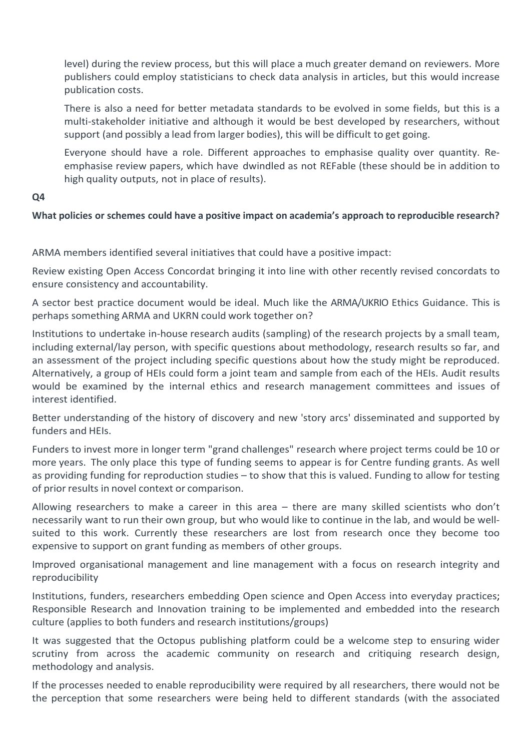level) during the review process, but this will place a much greater demand on reviewers. More publishers could employ statisticians to check data analysis in articles, but this would increase publication costs.

There is also a need for better metadata standards to be evolved in some fields, but this is a multi-stakeholder initiative and although it would be best developed by researchers, without support (and possibly a lead from larger bodies), this will be difficult to get going.

Everyone should have a role. Different approaches to emphasise quality over quantity. Reemphasise review papers, which have dwindled as not REFable (these should be in addition to high quality outputs, not in place of results).

### **Q4**

# **What policies or schemes could have a positive impact on academia's approach to reproducible research?**

ARMA members identified several initiatives that could have a positive impact:

Review existing Open Access Concordat bringing it into line with other recently revised concordats to ensure consistency and accountability.

A sector best practice document would be ideal. Much like the ARMA/UKRIO Ethics Guidance. This is perhaps something ARMA and UKRN could work together on?

Institutions to undertake in-house research audits (sampling) of the research projects by a small team, including external/lay person, with specific questions about methodology, research results so far, and an assessment of the project including specific questions about how the study might be reproduced. Alternatively, a group of HEIs could form a joint team and sample from each of the HEIs. Audit results would be examined by the internal ethics and research management committees and issues of interest identified.

Better understanding of the history of discovery and new 'story arcs' disseminated and supported by funders and HEIs.

Funders to invest more in longer term "grand challenges" research where project terms could be 10 or more years. The only place this type of funding seems to appear is for Centre funding grants. As well as providing funding for reproduction studies – to show that this is valued. Funding to allow for testing of prior results in novel context or comparison.

Allowing researchers to make a career in this area – there are many skilled scientists who don't necessarily want to run their own group, but who would like to continue in the lab, and would be wellsuited to this work. Currently these researchers are lost from research once they become too expensive to support on grant funding as members of other groups.

Improved organisational management and line management with a focus on research integrity and reproducibility

Institutions, funders, researchers embedding Open science and Open Access into everyday practices; Responsible Research and Innovation training to be implemented and embedded into the research culture (applies to both funders and research institutions/groups)

It was suggested that the Octopus publishing platform could be a welcome step to ensuring wider scrutiny from across the academic community on research and critiquing research design, methodology and analysis.

If the processes needed to enable reproducibility were required by all researchers, there would not be the perception that some researchers were being held to different standards (with the associated